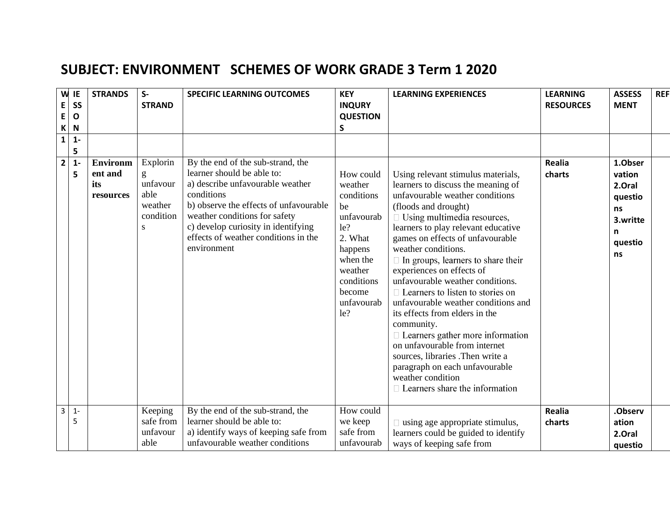## **SUBJECT: ENVIRONMENT SCHEMES OF WORK GRADE 3 Term 1 2020**

| W<br>E<br>E<br>K | IE<br>SS<br>$\mathbf{o}$<br>N | <b>STRANDS</b>                                 | $S-$<br><b>STRAND</b>                                          | <b>SPECIFIC LEARNING OUTCOMES</b>                                                                                                                                                                                                                                                          | <b>KEY</b><br><b>INQURY</b><br><b>QUESTION</b><br>S                                                                                                     | <b>LEARNING EXPERIENCES</b>                                                                                                                                                                                                                                                                                                                                                                                                                                                                                                                                                                                                                                                                                                                 | <b>LEARNING</b><br><b>RESOURCES</b> | <b>ASSESS</b><br><b>MENT</b>                                                   | <b>REF</b> |
|------------------|-------------------------------|------------------------------------------------|----------------------------------------------------------------|--------------------------------------------------------------------------------------------------------------------------------------------------------------------------------------------------------------------------------------------------------------------------------------------|---------------------------------------------------------------------------------------------------------------------------------------------------------|---------------------------------------------------------------------------------------------------------------------------------------------------------------------------------------------------------------------------------------------------------------------------------------------------------------------------------------------------------------------------------------------------------------------------------------------------------------------------------------------------------------------------------------------------------------------------------------------------------------------------------------------------------------------------------------------------------------------------------------------|-------------------------------------|--------------------------------------------------------------------------------|------------|
| $\mathbf{1}$     | $1 -$<br>5                    |                                                |                                                                |                                                                                                                                                                                                                                                                                            |                                                                                                                                                         |                                                                                                                                                                                                                                                                                                                                                                                                                                                                                                                                                                                                                                                                                                                                             |                                     |                                                                                |            |
| $\mathbf{2}$     | $1 -$<br>5                    | <b>Environm</b><br>ent and<br>its<br>resources | Explorin<br>g<br>unfavour<br>able<br>weather<br>condition<br>S | By the end of the sub-strand, the<br>learner should be able to:<br>a) describe unfavourable weather<br>conditions<br>b) observe the effects of unfavourable<br>weather conditions for safety<br>c) develop curiosity in identifying<br>effects of weather conditions in the<br>environment | How could<br>weather<br>conditions<br>be<br>unfavourab<br>le?<br>2. What<br>happens<br>when the<br>weather<br>conditions<br>become<br>unfavourab<br>le? | Using relevant stimulus materials,<br>learners to discuss the meaning of<br>unfavourable weather conditions<br>(floods and drought)<br>$\Box$ Using multimedia resources,<br>learners to play relevant educative<br>games on effects of unfavourable<br>weather conditions.<br>$\Box$ In groups, learners to share their<br>experiences on effects of<br>unfavourable weather conditions.<br>$\Box$ Learners to listen to stories on<br>unfavourable weather conditions and<br>its effects from elders in the<br>community.<br>$\Box$ Learners gather more information<br>on unfavourable from internet<br>sources, libraries .Then write a<br>paragraph on each unfavourable<br>weather condition<br>$\Box$ Learners share the information | <b>Realia</b><br>charts             | 1.Obser<br>vation<br>2.Oral<br>questio<br>ns<br>3.writte<br>n<br>questio<br>ns |            |
| 3                | $1 -$<br>5                    |                                                | Keeping<br>safe from<br>unfavour<br>able                       | By the end of the sub-strand, the<br>learner should be able to:<br>a) identify ways of keeping safe from<br>unfavourable weather conditions                                                                                                                                                | How could<br>we keep<br>safe from<br>unfavourab                                                                                                         | $\Box$ using age appropriate stimulus,<br>learners could be guided to identify<br>ways of keeping safe from                                                                                                                                                                                                                                                                                                                                                                                                                                                                                                                                                                                                                                 | <b>Realia</b><br>charts             | .Observ<br>ation<br>2.Oral<br>questio                                          |            |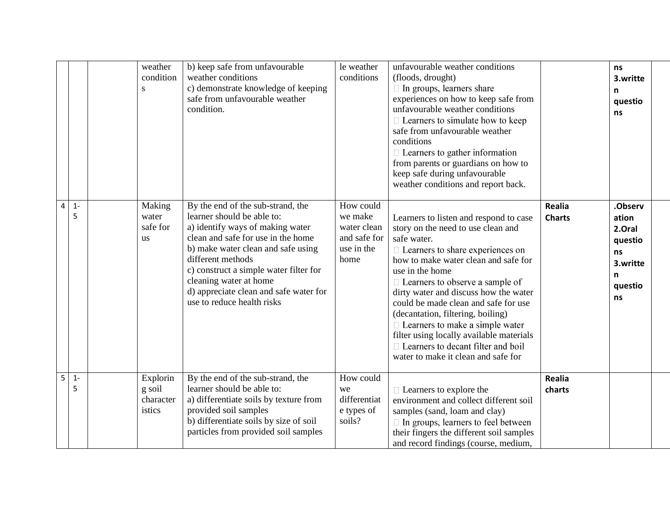|   |            | weather<br>condition<br>S                 | b) keep safe from unfavourable<br>weather conditions<br>c) demonstrate knowledge of keeping<br>safe from unfavourable weather<br>condition.                                                                                                                                                                                                      | le weather<br>conditions                                                  | unfavourable weather conditions<br>(floods, drought)<br>□ In groups, learners share<br>experiences on how to keep safe from<br>unfavourable weather conditions<br>$\Box$ Learners to simulate how to keep<br>safe from unfavourable weather<br>conditions<br>$\Box$ Learners to gather information<br>from parents or guardians on how to<br>keep safe during unfavourable<br>weather conditions and report back.                                                                                                                           |                                | ns<br>3.writte<br>n<br>questio<br>ns                                          |
|---|------------|-------------------------------------------|--------------------------------------------------------------------------------------------------------------------------------------------------------------------------------------------------------------------------------------------------------------------------------------------------------------------------------------------------|---------------------------------------------------------------------------|---------------------------------------------------------------------------------------------------------------------------------------------------------------------------------------------------------------------------------------------------------------------------------------------------------------------------------------------------------------------------------------------------------------------------------------------------------------------------------------------------------------------------------------------|--------------------------------|-------------------------------------------------------------------------------|
| 4 | $1 -$<br>5 | Making<br>water<br>safe for<br><b>us</b>  | By the end of the sub-strand, the<br>learner should be able to:<br>a) identify ways of making water<br>clean and safe for use in the home<br>b) make water clean and safe using<br>different methods<br>c) construct a simple water filter for<br>cleaning water at home<br>d) appreciate clean and safe water for<br>use to reduce health risks | How could<br>we make<br>water clean<br>and safe for<br>use in the<br>home | Learners to listen and respond to case<br>story on the need to use clean and<br>safe water.<br>$\Box$ Learners to share experiences on<br>how to make water clean and safe for<br>use in the home<br>$\Box$ Learners to observe a sample of<br>dirty water and discuss how the water<br>could be made clean and safe for use<br>(decantation, filtering, boiling)<br>$\Box$ Learners to make a simple water<br>filter using locally available materials<br>$\Box$ Learners to decant filter and boil<br>water to make it clean and safe for | <b>Realia</b><br><b>Charts</b> | .Observ<br>ation<br>2.Oral<br>questio<br>ns<br>3.writte<br>n<br>questio<br>ns |
| 5 | $1 -$<br>5 | Explorin<br>g soil<br>character<br>istics | By the end of the sub-strand, the<br>learner should be able to:<br>a) differentiate soils by texture from<br>provided soil samples<br>b) differentiate soils by size of soil<br>particles from provided soil samples                                                                                                                             | How could<br>we<br>differentiat<br>e types of<br>soils?                   | $\Box$ Learners to explore the<br>environment and collect different soil<br>samples (sand, loam and clay)<br>$\Box$ In groups, learners to feel between<br>their fingers the different soil samples<br>and record findings (course, medium,                                                                                                                                                                                                                                                                                                 | Realia<br>charts               |                                                                               |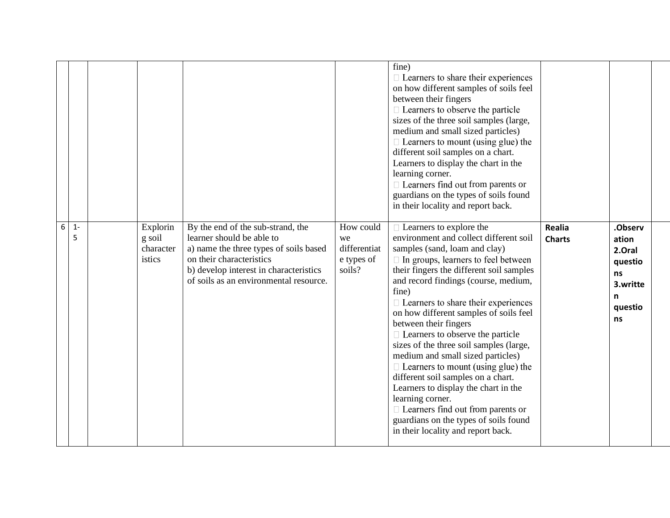|   |            |                                           |                                                                                                                                                                                                                          |                                                         | fine)<br>$\Box$ Learners to share their experiences<br>on how different samples of soils feel<br>between their fingers<br>$\Box$ Learners to observe the particle<br>sizes of the three soil samples (large,<br>medium and small sized particles)<br>$\Box$ Learners to mount (using glue) the<br>different soil samples on a chart.<br>Learners to display the chart in the<br>learning corner.<br>$\Box$ Learners find out from parents or<br>guardians on the types of soils found<br>in their locality and report back.                                                                                                                                                                                                                                                |                                |                                                                               |  |
|---|------------|-------------------------------------------|--------------------------------------------------------------------------------------------------------------------------------------------------------------------------------------------------------------------------|---------------------------------------------------------|----------------------------------------------------------------------------------------------------------------------------------------------------------------------------------------------------------------------------------------------------------------------------------------------------------------------------------------------------------------------------------------------------------------------------------------------------------------------------------------------------------------------------------------------------------------------------------------------------------------------------------------------------------------------------------------------------------------------------------------------------------------------------|--------------------------------|-------------------------------------------------------------------------------|--|
| 6 | $1 -$<br>5 | Explorin<br>g soil<br>character<br>istics | By the end of the sub-strand, the<br>learner should be able to<br>a) name the three types of soils based<br>on their characteristics<br>b) develop interest in characteristics<br>of soils as an environmental resource. | How could<br>we<br>differentiat<br>e types of<br>soils? | $\Box$ Learners to explore the<br>environment and collect different soil<br>samples (sand, loam and clay)<br>$\Box$ In groups, learners to feel between<br>their fingers the different soil samples<br>and record findings (course, medium,<br>fine)<br>$\Box$ Learners to share their experiences<br>on how different samples of soils feel<br>between their fingers<br>$\Box$ Learners to observe the particle<br>sizes of the three soil samples (large,<br>medium and small sized particles)<br>$\Box$ Learners to mount (using glue) the<br>different soil samples on a chart.<br>Learners to display the chart in the<br>learning corner.<br>$\Box$ Learners find out from parents or<br>guardians on the types of soils found<br>in their locality and report back. | <b>Realia</b><br><b>Charts</b> | .Observ<br>ation<br>2.Oral<br>questio<br>ns<br>3.writte<br>n<br>questio<br>ns |  |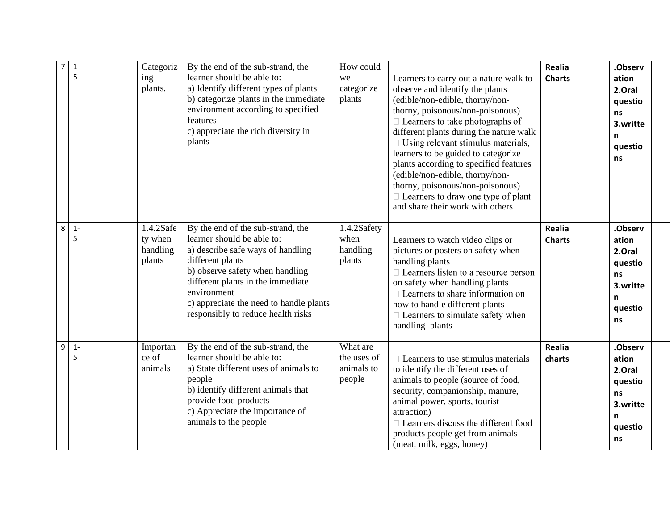| $\overline{7}$ | $1 -$<br>5 | Categoriz<br>ing<br>plants.                | By the end of the sub-strand, the<br>learner should be able to:<br>a) Identify different types of plants<br>b) categorize plants in the immediate<br>environment according to specified<br>features<br>c) appreciate the rich diversity in<br>plants                                             | How could<br>we<br>categorize<br>plants         | Learners to carry out a nature walk to<br>observe and identify the plants<br>(edible/non-edible, thorny/non-<br>thorny, poisonous/non-poisonous)<br>$\Box$ Learners to take photographs of<br>different plants during the nature walk<br>$\Box$ Using relevant stimulus materials,<br>learners to be guided to categorize<br>plants according to specified features<br>(edible/non-edible, thorny/non-<br>thorny, poisonous/non-poisonous)<br>$\Box$ Learners to draw one type of plant<br>and share their work with others | Realia<br><b>Charts</b> | .Observ<br>ation<br>2.Oral<br>questio<br><b>ns</b><br>3.writte<br>n<br>questio<br>ns |
|----------------|------------|--------------------------------------------|--------------------------------------------------------------------------------------------------------------------------------------------------------------------------------------------------------------------------------------------------------------------------------------------------|-------------------------------------------------|-----------------------------------------------------------------------------------------------------------------------------------------------------------------------------------------------------------------------------------------------------------------------------------------------------------------------------------------------------------------------------------------------------------------------------------------------------------------------------------------------------------------------------|-------------------------|--------------------------------------------------------------------------------------|
| 8              | $1 -$<br>5 | 1.4.2Safe<br>ty when<br>handling<br>plants | By the end of the sub-strand, the<br>learner should be able to:<br>a) describe safe ways of handling<br>different plants<br>b) observe safety when handling<br>different plants in the immediate<br>environment<br>c) appreciate the need to handle plants<br>responsibly to reduce health risks | 1.4.2Safety<br>when<br>handling<br>plants       | Learners to watch video clips or<br>pictures or posters on safety when<br>handling plants<br>$\Box$ Learners listen to a resource person<br>on safety when handling plants<br>$\Box$ Learners to share information on<br>how to handle different plants<br>$\Box$ Learners to simulate safety when<br>handling plants                                                                                                                                                                                                       | Realia<br><b>Charts</b> | .Observ<br>ation<br>2.Oral<br>questio<br>ns<br>3.writte<br>n<br>questio<br>ns        |
| 9              | $1 -$<br>5 | Importan<br>ce of<br>animals               | By the end of the sub-strand, the<br>learner should be able to:<br>a) State different uses of animals to<br>people<br>b) identify different animals that<br>provide food products<br>c) Appreciate the importance of<br>animals to the people                                                    | What are<br>the uses of<br>animals to<br>people | $\Box$ Learners to use stimulus materials<br>to identify the different uses of<br>animals to people (source of food,<br>security, companionship, manure,<br>animal power, sports, tourist<br>attraction)<br>$\Box$ Learners discuss the different food<br>products people get from animals<br>(meat, milk, eggs, honey)                                                                                                                                                                                                     | <b>Realia</b><br>charts | .Observ<br>ation<br>2.Oral<br>questio<br>ns<br>3.writte<br>n<br>questio<br>ns        |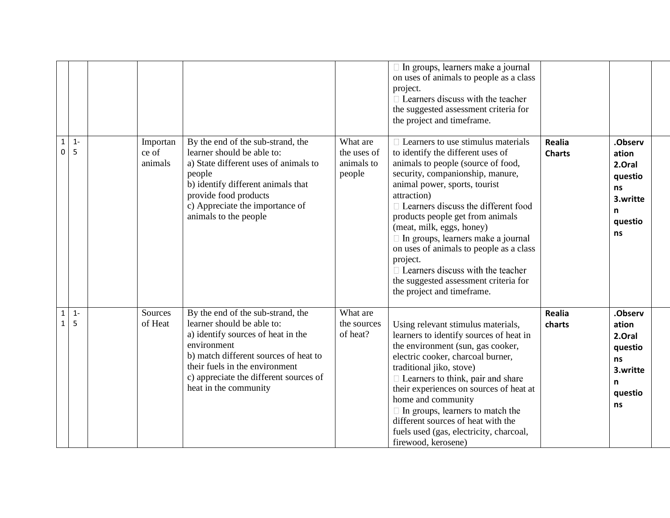|                              |             |                              |                                                                                                                                                                                                                                                                    |                                                 | $\Box$ In groups, learners make a journal<br>on uses of animals to people as a class<br>project.<br>$\Box$ Learners discuss with the teacher<br>the suggested assessment criteria for<br>the project and timeframe.                                                                                                                                                                                                                                                                                                                            |                                |                                                                               |
|------------------------------|-------------|------------------------------|--------------------------------------------------------------------------------------------------------------------------------------------------------------------------------------------------------------------------------------------------------------------|-------------------------------------------------|------------------------------------------------------------------------------------------------------------------------------------------------------------------------------------------------------------------------------------------------------------------------------------------------------------------------------------------------------------------------------------------------------------------------------------------------------------------------------------------------------------------------------------------------|--------------------------------|-------------------------------------------------------------------------------|
| $\mathbf{1}$<br>0            | $1 -$<br>5  | Importan<br>ce of<br>animals | By the end of the sub-strand, the<br>learner should be able to:<br>a) State different uses of animals to<br>people<br>b) identify different animals that<br>provide food products<br>c) Appreciate the importance of<br>animals to the people                      | What are<br>the uses of<br>animals to<br>people | $\Box$ Learners to use stimulus materials<br>to identify the different uses of<br>animals to people (source of food,<br>security, companionship, manure,<br>animal power, sports, tourist<br>attraction)<br>$\Box$ Learners discuss the different food<br>products people get from animals<br>(meat, milk, eggs, honey)<br>$\Box$ In groups, learners make a journal<br>on uses of animals to people as a class<br>project.<br>$\Box$ Learners discuss with the teacher<br>the suggested assessment criteria for<br>the project and timeframe. | <b>Realia</b><br><b>Charts</b> | .Observ<br>ation<br>2.Oral<br>questio<br>ns<br>3.writte<br>n<br>questio<br>ns |
| $\mathbf{1}$<br>$\mathbf{1}$ | $1 -$<br>-5 | Sources<br>of Heat           | By the end of the sub-strand, the<br>learner should be able to:<br>a) identify sources of heat in the<br>environment<br>b) match different sources of heat to<br>their fuels in the environment<br>c) appreciate the different sources of<br>heat in the community | What are<br>the sources<br>of heat?             | Using relevant stimulus materials,<br>learners to identify sources of heat in<br>the environment (sun, gas cooker,<br>electric cooker, charcoal burner,<br>traditional jiko, stove)<br>$\Box$ Learners to think, pair and share<br>their experiences on sources of heat at<br>home and community<br>$\Box$ In groups, learners to match the<br>different sources of heat with the<br>fuels used (gas, electricity, charcoal,<br>firewood, kerosene)                                                                                            | <b>Realia</b><br>charts        | .Observ<br>ation<br>2.Oral<br>questio<br>ns<br>3.writte<br>n<br>questio<br>ns |